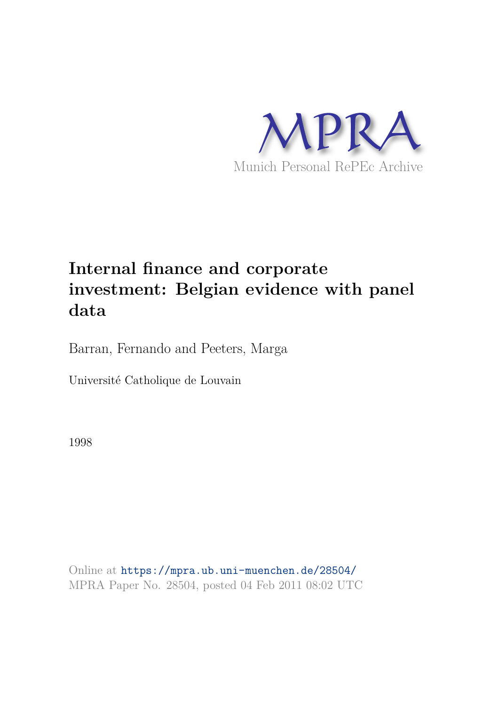

# **Internal finance and corporate investment: Belgian evidence with panel data**

Barran, Fernando and Peeters, Marga

Université Catholique de Louvain

1998

Online at https://mpra.ub.uni-muenchen.de/28504/ MPRA Paper No. 28504, posted 04 Feb 2011 08:02 UTC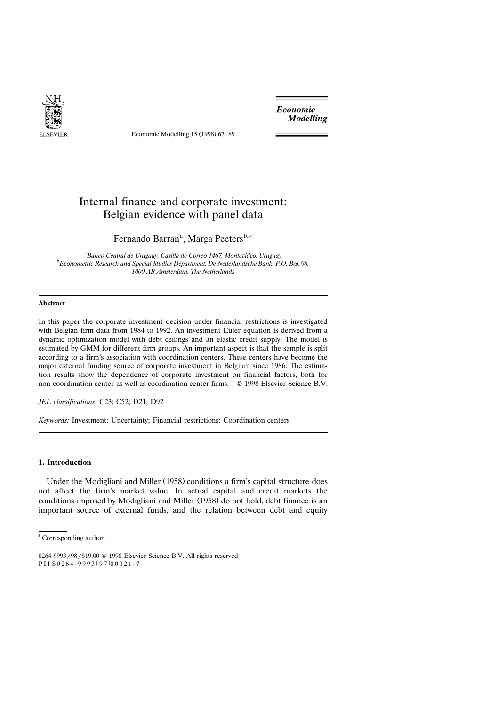

Economic Modelling 15 (1998) 67-89

*Economic* **Modelling** 

# Internal finance and corporate investment: Belgian evidence with panel data

Fernando Barran<sup>a</sup>, Marga Peeters<sup>b,\*</sup>

<sup>a</sup> Banco Central de Uruguay, Casilla de Correo 1467, Montevideo, Uruguay <sup>b</sup>*Econometric Research and Special Studies Department, De Nederlandsche Bank, P.O. Box 98, 1000 AB Amsterdam, The Netherlands*

# **Abstract**

In this paper the corporate investment decision under financial restrictions is investigated with Belgian firm data from 1984 to 1992. An investment Euler equation is derived from a dynamic optimization model with debt ceilings and an elastic credit supply. The model is estimated by GMM for different firm groups. An important aspect is that the sample is split according to a firm's association with coordination centers. These centers have become the major external funding source of corporate investment in Belgium since 1986. The estimation results show the dependence of corporate investment on financial factors, both for non-coordination center as well as coordination center firms.  $\circ$  1998 Elsevier Science B.V.

*JEL classifications*: C23; C52; D21; D92

*Keywords:* Investment; Uncertainty; Financial restrictions; Coordination centers

# **1. Introduction**

Under the Modigliani and Miller (1958) conditions a firm's capital structure does not affect the firm's market value. In actual capital and credit markets the conditions imposed by Modigliani and Miller (1958) do not hold, debt finance is an important source of external funds, and the relation between debt and equity

<sup>\*</sup> Corresponding author.

<sup>0264-9993/98/\$19.00 © 1998</sup> Elsevier Science B.V. All rights reserved PII S0264-9993 (97) 00021-7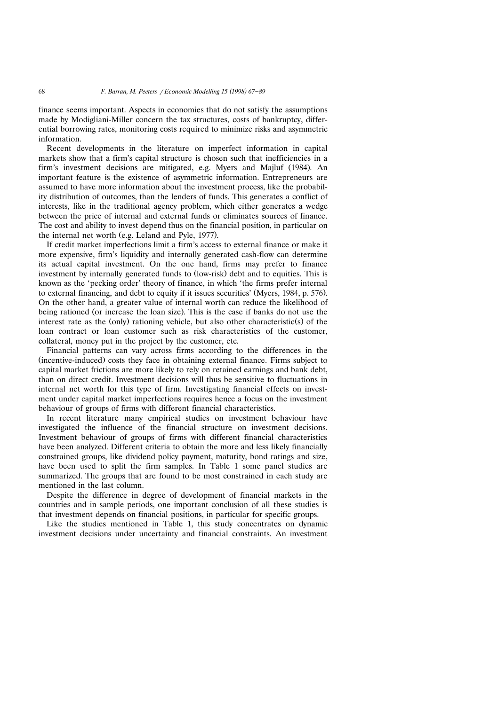finance seems important. Aspects in economies that do not satisfy the assumptions made by Modigliani-Miller concern the tax structures, costs of bankruptcy, differential borrowing rates, monitoring costs required to minimize risks and asymmetric information.

Recent developments in the literature on imperfect information in capital markets show that a firm's capital structure is chosen such that inefficiencies in a firm's investment decisions are mitigated, e.g. Myers and Majluf (1984). An important feature is the existence of asymmetric information. Entrepreneurs are assumed to have more information about the investment process, like the probability distribution of outcomes, than the lenders of funds. This generates a conflict of interests, like in the traditional agency problem, which either generates a wedge between the price of internal and external funds or eliminates sources of finance. The cost and ability to invest depend thus on the financial position, in particular on the internal net worth (e.g. Leland and Pyle, 1977).

If credit market imperfections limit a firm's access to external finance or make it more expensive, firm's liquidity and internally generated cash-flow can determine its actual capital investment. On the one hand, firms may prefer to finance investment by internally generated funds to (low-risk) debt and to equities. This is known as the 'pecking order' theory of finance, in which 'the firms prefer internal to external financing, and debt to equity if it issues securities' (Myers, 1984, p. 576). On the other hand, a greater value of internal worth can reduce the likelihood of being rationed (or increase the loan size). This is the case if banks do not use the interest rate as the (only) rationing vehicle, but also other characteristic(s) of the loan contract or loan customer such as risk characteristics of the customer, collateral, money put in the project by the customer, etc.

Financial patterns can vary across firms according to the differences in the (incentive-induced) costs they face in obtaining external finance. Firms subject to capital market frictions are more likely to rely on retained earnings and bank debt, than on direct credit. Investment decisions will thus be sensitive to fluctuations in internal net worth for this type of firm. Investigating financial effects on investment under capital market imperfections requires hence a focus on the investment behaviour of groups of firms with different financial characteristics.

In recent literature many empirical studies on investment behaviour have investigated the influence of the financial structure on investment decisions. Investment behaviour of groups of firms with different financial characteristics have been analyzed. Different criteria to obtain the more and less likely financially constrained groups, like dividend policy payment, maturity, bond ratings and size, have been used to split the firm samples. In Table 1 some panel studies are summarized. The groups that are found to be most constrained in each study are mentioned in the last column.

Despite the difference in degree of development of financial markets in the countries and in sample periods, one important conclusion of all these studies is that investment depends on financial positions, in particular for specific groups.

Like the studies mentioned in Table 1, this study concentrates on dynamic investment decisions under uncertainty and financial constraints. An investment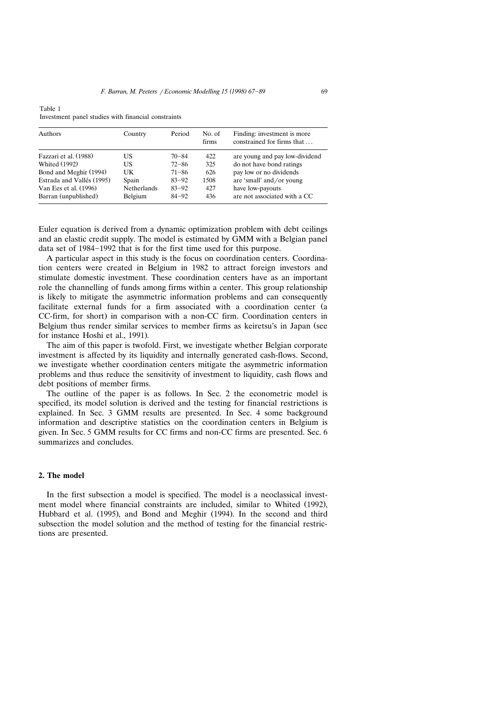| <b>Authors</b>            | Country            | Period    | No. of<br>firms | Finding: investment is more<br>constrained for firms that |
|---------------------------|--------------------|-----------|-----------------|-----------------------------------------------------------|
| Fazzari et al. (1988)     | US                 | $70 - 84$ | 422             | are young and pay low-dividend                            |
| <b>Whited (1992)</b>      | US                 | $72 - 86$ | 325             | do not have bond ratings                                  |
| Bond and Meghir (1994)    | UK                 | $71 - 86$ | 626             | pay low or no dividends                                   |
| Estrada and Vallés (1995) | Spain              | $83 - 92$ | 1508            | are 'small' and/or young                                  |
| Van Ees et al. (1996)     | <b>Netherlands</b> | $83 - 92$ | 427             | have low-payouts                                          |
| Barran (unpublished)      | Belgium            | $84 - 92$ | 436             | are not associated with a CC                              |

Table 1 Investment panel studies with financial constraints

Euler equation is derived from a dynamic optimization problem with debt ceilings and an elastic credit supply. The model is estimated by GMM with a Belgian panel data set of 1984-1992 that is for the first time used for this purpose.

A particular aspect in this study is the focus on coordination centers. Coordination centers were created in Belgium in 1982 to attract foreign investors and stimulate domestic investment. These coordination centers have as an important role the channelling of funds among firms within a center. This group relationship is likely to mitigate the asymmetric information problems and can consequently facilitate external funds for a firm associated with a coordination center (a CC-firm, for short) in comparison with a non-CC firm. Coordination centers in Belgium thus render similar services to member firms as keiretsu's in Japan (see for instance Hoshi et al., 1991).

The aim of this paper is twofold. First, we investigate whether Belgian corporate investment is affected by its liquidity and internally generated cash-flows. Second, we investigate whether coordination centers mitigate the asymmetric information problems and thus reduce the sensitivity of investment to liquidity, cash flows and debt positions of member firms.

The outline of the paper is as follows. In Sec. 2 the econometric model is specified, its model solution is derived and the testing for financial restrictions is explained. In Sec. 3 GMM results are presented. In Sec. 4 some background information and descriptive statistics on the coordination centers in Belgium is given. In Sec. 5 GMM results for CC firms and non-CC firms are presented. Sec. 6 summarizes and concludes.

# **2. The model**

In the first subsection a model is specified. The model is a neoclassical investment model where financial constraints are included, similar to Whited (1992), Hubbard et al. (1995), and Bond and Meghir (1994). In the second and third subsection the model solution and the method of testing for the financial restrictions are presented.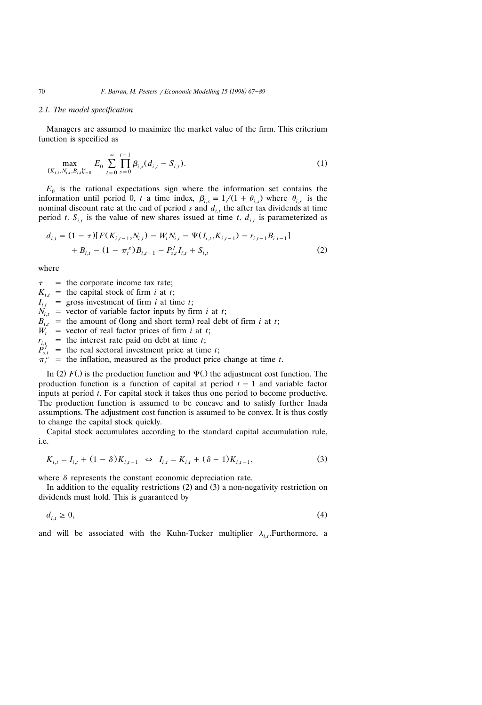#### *2.1. The model specification*

Managers are assumed to maximize the market value of the firm. This criterium function is specified as

$$
\max_{\{K_{i,t}, N_{i,t}, B_{i,t}\}_{t=0}^{\infty}} E_0 \sum_{t=0}^{\infty} \prod_{s=0}^{t-1} \beta_{i,s} (d_{i,t} - S_{i,t}). \tag{1}
$$

 $E_0$  is the rational expectations sign where the information set contains the information until period 0, *t* a time index,  $\beta_{i,s} \equiv 1/(1 + \theta_{i,s})$  where  $\theta_{i,s}$  is the nominal discount rate at the end of period *s* and  $d_{i,t}$  the after tax dividends at time period *t*.  $S_{i,t}$  is the value of new shares issued at time *t*.  $d_{i,t}$  is parameterized as

$$
d_{i,t} = (1 - \tau) [F(K_{i,t-1}, N_{i,t}) - W_t N_{i,t} - \Psi(I_{i,t}, K_{i,t-1}) - r_{i,t-1} B_{i,t-1}]
$$
  
+ 
$$
B_{i,t} - (1 - \pi_t^{\epsilon}) B_{i,t-1} - P_{s,t}^I I_{i,t} + S_{i,t}
$$
 (2)

where

 $\tau$  = the corporate income tax rate;  $K_{i,t}$  = the capital stock of firm *i* at *t*;  $I_{i,t}$  = gross investment of firm *i* at time *t*;  $N_{i,t}$  = vector of variable factor inputs by firm *i* at *t*;  $B_{i,t}$  = the amount of (long and short term) real debt of firm *i* at *t*;  $W_t$  = vector of real factor prices of firm *i* at *t*;  $r_{i,t}$  = the interest rate paid on debt at time *t*;<br> $P_{s,t}$  = the real sectoral investment price at time *t*;  $\pi_t^{\varepsilon}$  = the inflation, measured as the product price change at time *t*.

In (2)  $F(.)$  is the production function and  $\Psi(.)$  the adjustment cost function. The production function is a function of capital at period  $t - 1$  and variable factor inputs at period *t*. For capital stock it takes thus one period to become productive. The production function is assumed to be concave and to satisfy further Inada assumptions. The adjustment cost function is assumed to be convex. It is thus costly to change the capital stock quickly.

Capital stock accumulates according to the standard capital accumulation rule, i.e.

$$
K_{i,t} = I_{i,t} + (1 - \delta)K_{i,t-1} \iff I_{i,t} = K_{i,t} + (\delta - 1)K_{i,t-1},
$$
\n(3)

where  $\delta$  represents the constant economic depreciation rate.

In addition to the equality restrictions  $(2)$  and  $(3)$  a non-negativity restriction on dividends must hold. This is guaranteed by

$$
d_{i,t} \geq 0,\tag{4}
$$

and will be associated with the Kuhn-Tucker multiplier  $\lambda_{i,t}$ . Furthermore, a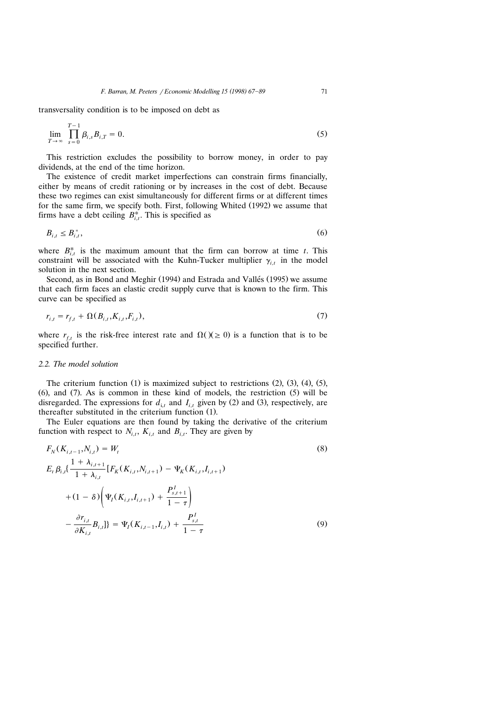transversality condition is to be imposed on debt as

$$
\lim_{T \to \infty} \prod_{s=0}^{T-1} \beta_{i,s} B_{i,T} = 0.
$$
\n(5)

This restriction excludes the possibility to borrow money, in order to pay dividends, at the end of the time horizon.

The existence of credit market imperfections can constrain firms financially, either by means of credit rationing or by increases in the cost of debt. Because these two regimes can exist simultaneously for different firms or at different times for the same firm, we specify both. First, following Whited (1992) we assume that firms have a debt ceiling  $B_{i,t}^*$ . This is specified as

$$
B_{i,t} \leq B_{i,t}^*,\tag{6}
$$

where  $B_{i,t}^*$  is the maximum amount that the firm can borrow at time *t*. This constraint will be associated with the Kuhn-Tucker multiplier  $\gamma_{i,t}$  in the model solution in the next section.

Second, as in Bond and Meghir (1994) and Estrada and Vallés (1995) we assume that each firm faces an elastic credit supply curve that is known to the firm. This curve can be specified as

$$
r_{i,t} = r_{f,t} + \Omega(B_{i,t}, K_{i,t}, F_{i,t}),
$$
\n(7)

where  $r_{f,t}$  is the risk-free interest rate and  $\Omega(x) \geq 0$  is a function that is to be specified further.

#### *2.2. The model solution*

The criterium function  $(1)$  is maximized subject to restrictions  $(2)$ ,  $(3)$ ,  $(4)$ ,  $(5)$ ,  $(6)$ , and  $(7)$ . As is common in these kind of models, the restriction  $(5)$  will be disregarded. The expressions for  $d_{i,t}$  and  $I_{i,t}$  given by (2) and (3), respectively, are thereafter substituted in the criterium function (1).

The Euler equations are then found by taking the derivative of the criterium function with respect to  $N_{i,t}$ ,  $K_{i,t}$  and  $B_{i,t}$ . They are given by

$$
F_N(K_{i,t-1}, N_{i,t}) = W_t
$$
\n
$$
E_t \beta_{i,t} \left\{ \frac{1 + \lambda_{i,t+1}}{1 + \lambda_{i,t}} \left[ F_K(K_{i,t}, N_{i,t+1}) - \Psi_K(K_{i,t}, I_{i,t+1}) \right] + (1 - \delta) \left( \Psi_I(K_{i,t}, I_{i,t+1}) + \frac{P_{s,t+1}^I}{1 - \tau} \right) - \frac{\partial r_{i,t}}{\partial K_{i,t}} B_{i,t} \right\} = \Psi_I(K_{i,t-1}, I_{i,t}) + \frac{P_{s,t}^I}{1 - \tau}
$$
\n(9)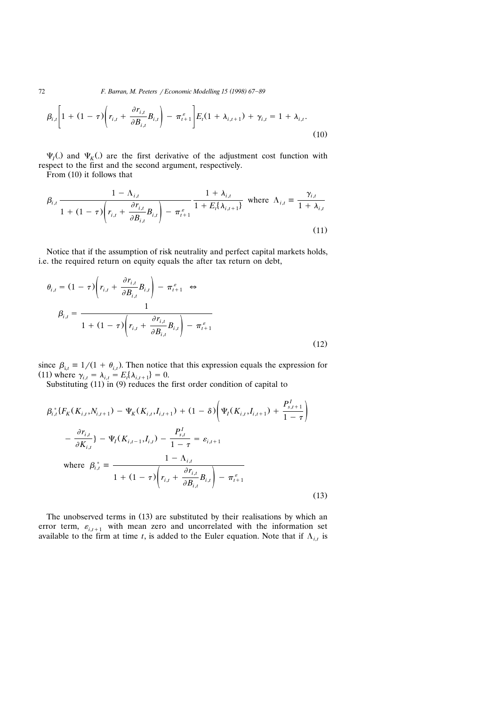72 **F. Barran, M. Peeters** / Economic Modelling 15 (1998) 67-89

$$
\beta_{i,t} \left[ 1 + (1 - \tau) \left( r_{i,t} + \frac{\partial r_{i,t}}{\partial B_{i,t}} B_{i,t} \right) - \pi_{t+1}^s \right] E_t (1 + \lambda_{i,t+1}) + \gamma_{i,t} = 1 + \lambda_{i,t}.
$$
\n(10)

 $\Psi_I$ (.) and  $\Psi_K$ (.) are the first derivative of the adjustment cost function with respect to the first and the second argument, respectively.

From  $(10)$  it follows that

$$
\beta_{i,t} \frac{1 - \Lambda_{i,t}}{1 + (1 - \tau) \left( r_{i,t} + \frac{\partial r_{i,t}}{\partial B_{i,t}} B_{i,t} \right) - \pi_{t+1}^{\varepsilon}} \frac{1 + \lambda_{i,t}}{1 + E_t \{\lambda_{i,t+1}\}} \text{ where } \Lambda_{i,t} \equiv \frac{\gamma_{i,t}}{1 + \lambda_{i,t}}
$$
\n(11)

Notice that if the assumption of risk neutrality and perfect capital markets holds, i.e. the required return on equity equals the after tax return on debt,

$$
\theta_{i,t} = (1 - \tau) \left( r_{i,t} + \frac{\partial r_{i,t}}{\partial B_{i,t}} B_{i,t} \right) - \pi_{t+1}^{\varepsilon} \Leftrightarrow
$$
\n
$$
\beta_{i,t} = \frac{1}{1 + (1 - \tau) \left( r_{i,t} + \frac{\partial r_{i,t}}{\partial B_{i,t}} B_{i,t} \right) - \pi_{t+1}^{\varepsilon}}
$$
\n(12)

since  $\beta_{i,t} \equiv 1/(1 + \theta_{i,t})$ . Then notice that this expression equals the expression for (11) where  $\gamma_{i,t} = \lambda_{i,t} = E_t[\lambda_{i,t+1}] = 0.$ 

Substituting  $(11)$  in  $(9)$  reduces the first order condition of capital to

$$
\beta_{i,t}^{*} \{ F_{K}(K_{i,t}, N_{i,t+1}) - \Psi_{K}(K_{i,t}, I_{i,t+1}) + (1 - \delta) \left( \Psi_{I}(K_{i,t}, I_{i,t+1}) + \frac{P_{s,t+1}^{I}}{1 - \tau} \right) \newline - \frac{\partial r_{i,t}}{\partial K_{i,t}} \} - \Psi_{I}(K_{i,t-1}, I_{i,t}) - \frac{P_{s,t}^{I}}{1 - \tau} = \varepsilon_{i,t+1} \newline \text{where } \beta_{i,t}^{*} \equiv \frac{1 - \Lambda_{i,t}}{1 + (1 - \tau) \left( r_{i,t} + \frac{\partial r_{i,t}}{\partial B_{i,t}} B_{i,t} \right) - \pi_{t+1}^{\varepsilon} }
$$
\n(13)

The unobserved terms in  $(13)$  are substituted by their realisations by which an error term,  $\varepsilon_{i,t+1}$  with mean zero and uncorrelated with the information set available to the firm at time *t*, is added to the Euler equation. Note that if  $\Lambda_{i,t}$  is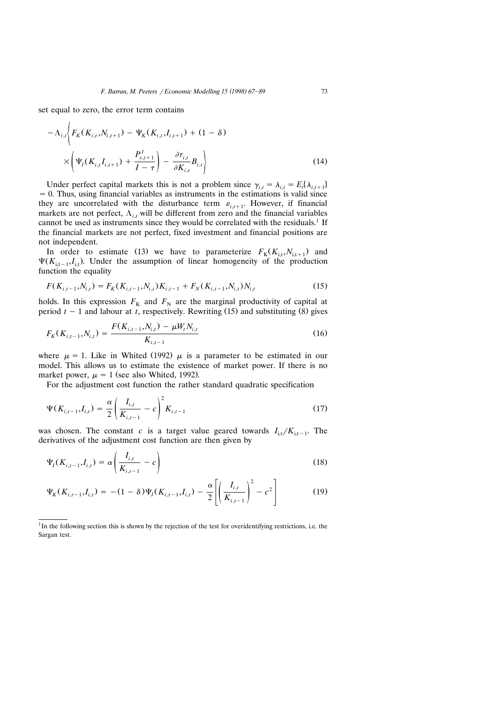set equal to zero, the error term contains

$$
-\Lambda_{i,t}\left\{F_K(K_{i,t}, N_{i,t+1}) - \Psi_K(K_{i,t}, I_{i,t+1}) + (1 - \delta)\right\}
$$

$$
\times \left(\Psi_I(K_{i,t}, I_{i,t+1}) + \frac{P_{s,t+1}^I}{I - \tau}\right) - \frac{\partial r_{i,t}}{\partial K_{i,t}}B_{i,t}\right\}
$$
(14)

Under perfect capital markets this is not a problem since  $\gamma_{i,t} = \lambda_{i,t} = E_t[\lambda_{i,t+1}]$  $= 0$ . Thus, using financial variables as instruments in the estimations is valid since they are uncorrelated with the disturbance term  $\varepsilon_{i,t+1}$ . However, if financial markets are not perfect,  $\Lambda_{i,t}$  will be different from zero and the financial variables cannot be used as instruments since they would be correlated with the residuals.<sup>1</sup> If the financial markets are not perfect, fixed investment and financial positions are not independent.

In order to estimate (13) we have to parameterize  $F_K(K_{i,t}, N_{i,t+1})$  and  $\Psi(K_{i,t-1}, I_{i,t})$ . Under the assumption of linear homogeneity of the production function the equality

$$
F(K_{i,t-1}, N_{i,t}) = F_K(K_{i,t-1}, N_{i,t}) K_{i,t-1} + F_N(K_{i,t-1}, N_{i,t}) N_{i,t}
$$
\n(15)

holds. In this expression  $F_K$  and  $F_N$  are the marginal productivity of capital at period  $t - 1$  and labour at *t*, respectively. Rewriting (15) and substituting (8) gives

$$
F_K(K_{i,t-1}, N_{i,t}) = \frac{F(K_{i,t-1}, N_{i,t}) - \mu W_t N_{i,t}}{K_{i,t-1}}
$$
\n(16)

where  $\mu = 1$ . Like in Whited (1992)  $\mu$  is a parameter to be estimated in our model. This allows us to estimate the existence of market power. If there is no market power,  $\mu = 1$  (see also Whited, 1992).

For the adjustment cost function the rather standard quadratic specification

$$
\Psi(K_{i,t-1},I_{i,t}) = \frac{\alpha}{2} \left( \frac{I_{i,t}}{K_{i,t-1}} - c \right)^2 K_{i,t-1}
$$
\n(17)

was chosen. The constant *c* is a target value geared towards  $I_{i,t}/K_{i,t-1}$ . The derivatives of the adjustment cost function are then given by

$$
\Psi_{I}(K_{i,t-1},I_{i,t}) = \alpha \left(\frac{I_{i,t}}{K_{i,t-1}} - c\right)
$$
\n(18)

$$
\Psi_K(K_{i,t-1},I_{i,t}) = -(1-\delta)\Psi_I(K_{i,t-1},I_{i,t}) - \frac{\alpha}{2}\left[\left(\frac{I_{i,t}}{K_{i,t-1}}\right)^2 - c^2\right]
$$
(19)

 $1$ In the following section this is shown by the rejection of the test for overidentifying restrictions, i.e. the Sargan test.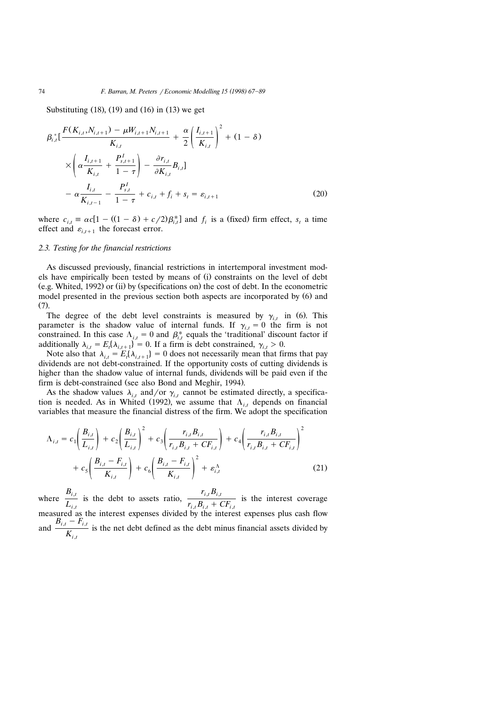Substituting  $(18)$ ,  $(19)$  and  $(16)$  in  $(13)$  we get

$$
\beta_{i,t}^{*} \left[ \frac{F(K_{i,t}, N_{i,t+1}) - \mu W_{i,t+1} N_{i,t+1}}{K_{i,t}} + \frac{\alpha}{2} \left( \frac{I_{i,t+1}}{K_{i,t}} \right)^{2} + (1 - \delta) \times \left( \alpha \frac{I_{i,t+1}}{K_{i,t}} + \frac{P_{s,t+1}^{I}}{1 - \tau} \right) - \frac{\partial r_{i,t}}{\partial K_{i,t}} B_{i,t} \right] - \alpha \frac{I_{i,t}}{K_{i,t-1}} - \frac{P_{s,t}}{1 - \tau} + c_{i,t} + f_{i} + s_{t} = \varepsilon_{i,t+1}
$$
\n(20)

where  $c_{i,t} \equiv \alpha c [1 - ((1 - \delta) + c/2) \beta_{i,t}^*]$  and  $f_i$  is a (fixed) firm effect,  $s_t$  a time effect and  $\varepsilon_{i,t+1}$  the forecast error.

#### *2.3. Testing for the financial restrictions*

As discussed previously, financial restrictions in intertemporal investment models have empirically been tested by means of (i) constraints on the level of debt  $(e.g. White, 1992)$  or (ii) by (specifications on) the cost of debt. In the econometric model presented in the previous section both aspects are incorporated by  $(6)$  and  $(7)$ .

The degree of the debt level constraints is measured by  $\gamma_{i,t}$  in (6). This parameter is the shadow value of internal funds. If  $\gamma_{i,t} = 0$  the firm is not constrained. In this case  $\Lambda_{i,t} = 0$  and  $\beta_{i,t}^*$  equals the 'traditional' discount factor if additionally  $\lambda_{i,t} = E_i \{ \lambda_{i,t+1} \} = 0$ . If a firm is debt constrained,  $\gamma_{i,t} > 0$ .

Note also that  $\lambda_{i,t} = E_t(\lambda_{i,t+1}) = 0$  does not necessarily mean that firms that pay dividends are not debt-constrained. If the opportunity costs of cutting dividends is higher than the shadow value of internal funds, dividends will be paid even if the firm is debt-constrained (see also Bond and Meghir, 1994).

As the shadow values  $\lambda_{i,t}$  and/or  $\gamma_{i,t}$  cannot be estimated directly, a specification is needed. As in Whited (1992), we assume that  $\Lambda_{i,t}$  depends on financial variables that measure the financial distress of the firm. We adopt the specification

$$
\Lambda_{i,t} = c_1 \left( \frac{B_{i,t}}{L_{i,t}} \right) + c_2 \left( \frac{B_{i,t}}{L_{i,t}} \right)^2 + c_3 \left( \frac{r_{i,t} B_{i,t}}{r_{i,t} B_{i,t} + C F_{i,t}} \right) + c_4 \left( \frac{r_{i,t} B_{i,t}}{r_{i,t} B_{i,t} + C F_{i,t}} \right)^2
$$
  
+ 
$$
c_5 \left( \frac{B_{i,t} - F_{i,t}}{K_{i,t}} \right) + c_6 \left( \frac{B_{i,t} - F_{i,t}}{K_{i,t}} \right)^2 + \varepsilon_{i,t}^{\Lambda}
$$
(21)

where  $\frac{B_{i,t}}{L_{i,t}}$  is the debt to assets ratio,  $\frac{r_{i,t}B_{i,t}}{r_{i,t}B_{i,t} + CF_{i,t}}$  is the interest coverage measured as the interest expenses divided by the interest expenses plus cash flow and  $\frac{B_{i,t} - F_{i,t}}{K_{i,t}}$  is the net debt defined as the debt minus financial assets divided by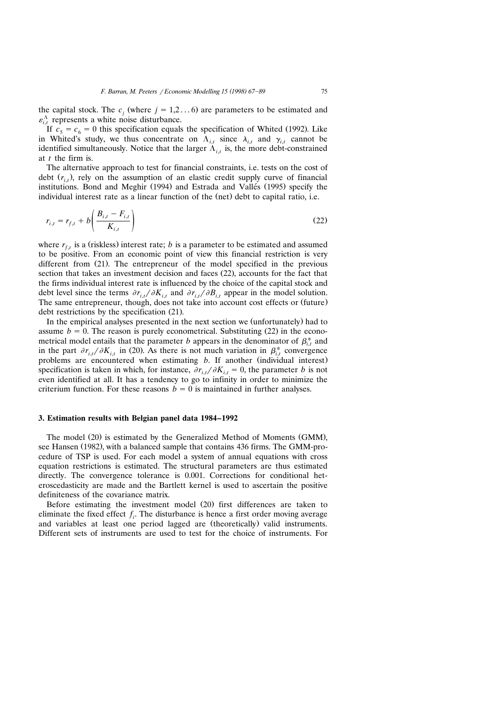the capital stock. The  $c_j$  (where  $j = 1,2...$  6) are parameters to be estimated and  $\varepsilon_{i,t}^{\Lambda}$  represents a white noise disturbance.

If  $c_5 = c_6 = 0$  this specification equals the specification of Whited (1992). Like in Whited's study, we thus concentrate on  $\Lambda_{i,t}$  since  $\lambda_{i,t}$  and  $\gamma_{i,t}$  cannot be identified simultaneously. Notice that the larger  $\Lambda_{i,t}$  is, the more debt-constrained at *t* the firm is.

The alternative approach to test for financial constraints, i.e. tests on the cost of debt  $(r_i)$ , rely on the assumption of an elastic credit supply curve of financial institutions. Bond and Meghir  $(1994)$  and Estrada and Vallés  $(1995)$  specify the individual interest rate as a linear function of the (net) debt to capital ratio, i.e.

$$
r_{i,t} = r_{f,t} + b \left( \frac{B_{i,t} - F_{i,t}}{K_{i,t}} \right)
$$
 (22)

where  $r_{f,t}$  is a (riskless) interest rate; *b* is a parameter to be estimated and assumed to be positive. From an economic point of view this financial restriction is very different from  $(21)$ . The entrepreneur of the model specified in the previous section that takes an investment decision and faces (22), accounts for the fact that the firms individual interest rate is influenced by the choice of the capital stock and debt level since the terms  $\partial r_{i,t}/\partial K_{i,t}$  and  $\partial r_{i,t}/\partial B_{i,t}$  appear in the model solution. The same entrepreneur, though, does not take into account cost effects or (future) debt restrictions by the specification  $(21)$ .

In the empirical analyses presented in the next section we (unfortunately) had to assume  $b = 0$ . The reason is purely econometrical. Substituting  $(22)$  in the econometrical model entails that the parameter *b* appears in the denominator of  $\beta_{i,t}^*$  and in the part  $\partial r_{i,t}/\partial K_{i,t}$  in (20). As there is not much variation in  $\beta_{i,t}^*$  convergence problems are encountered when estimating *b*. If another (individual interest) specification is taken in which, for instance,  $\partial r_{i,t}/\partial K_{i,t} = 0$ , the parameter *b* is not even identified at all. It has a tendency to go to infinity in order to minimize the criterium function. For these reasons  $b = 0$  is maintained in further analyses.

#### **3. Estimation results with Belgian panel data 1984–1992**

The model (20) is estimated by the Generalized Method of Moments (GMM), see Hansen (1982), with a balanced sample that contains 436 firms. The GMM-procedure of TSP is used. For each model a system of annual equations with cross equation restrictions is estimated. The structural parameters are thus estimated directly. The convergence tolerance is 0.001. Corrections for conditional heteroscedasticity are made and the Bartlett kernel is used to ascertain the positive definiteness of the covariance matrix.

Before estimating the investment model (20) first differences are taken to eliminate the fixed effect  $f_i$ . The disturbance is hence a first order moving average and variables at least one period lagged are (theoretically) valid instruments. Different sets of instruments are used to test for the choice of instruments. For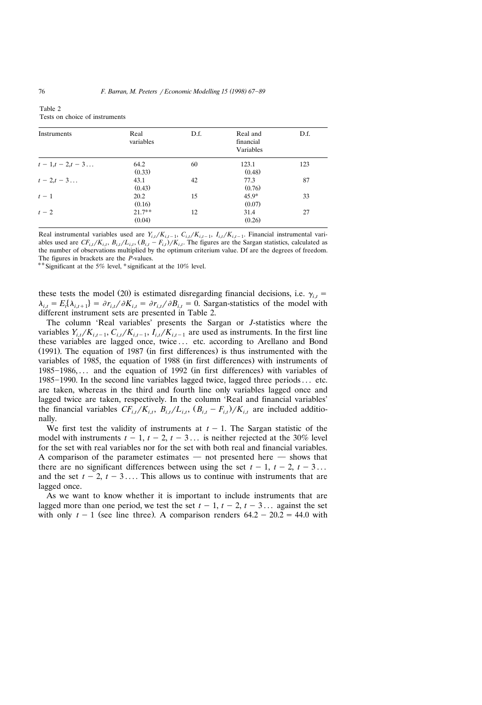| Instruments   | Real<br>variables  | D.f. | Real and<br>financial<br>Variables | D.f. |
|---------------|--------------------|------|------------------------------------|------|
| $t-1,t-2,t-3$ | 64.2<br>(0.33)     | 60   | 123.1<br>(0.48)                    | 123  |
| $t-2,t-3$     | 43.1<br>(0.43)     | 42   | 77.3<br>(0.76)                     | 87   |
| $t-1$         | 20.2<br>(0.16)     | 15   | $45.9*$<br>(0.07)                  | 33   |
| $t-2$         | $21.7**$<br>(0.04) | 12   | 31.4<br>(0.26)                     | 27   |

Table 2 Tests on choice of instruments

Real instrumental variables used are  $Y_{i,t}/K_{i,t-1}$ ,  $C_{i,t}/K_{i,t-1}$ ,  $I_{i,t}/K_{i,t-1}$ . Financial instrumental variables used are  $CF_{i,t}/K_{i,t}$ ,  $B_{i,t}/L_{i,t}$ ,  $(B_{i,t} - F_{i,t})/K_{i,t}$ . The figures are the Sargan statistics, calculated as the number of observations multiplied by the optimum criterium value. Df are the degrees of freedom. The figures in brackets are the *P*-values.

\*\* Significant at the 5% level, \*significant at the 10% level.

these tests the model (20) is estimated disregarding financial decisions, i.e.  $\gamma_{i,t}$  =  $\lambda_{i,t} = E_t[\lambda_{i,t+1}] = \partial r_{i,t}/\partial K_{i,t} = \partial r_{i,t}/\partial B_{i,t} = 0$ . Sargan-statistics of the model with different instrument sets are presented in Table 2.

The column 'Real variables' presents the Sargan or *J*-statistics where the variables  $Y_{i,t}/K_{i,t-1}, C_{i,t}/K_{i,t-1}, I_{i,t}/K_{i,t-1}$  are used as instruments. In the first line these variables are lagged once, twice . . . etc. according to Arellano and Bond  $(1991)$ . The equation of 1987 (in first differences) is thus instrumented with the variables of 1985, the equation of 1988 (in first differences) with instruments of  $1985-1986, \ldots$  and the equation of 1992 (in first differences) with variables of  $1985-1990$ . In the second line variables lagged twice, lagged three periods  $\dots$  etc. are taken, whereas in the third and fourth line only variables lagged once and lagged twice are taken, respectively. In the column 'Real and financial variables' the financial variables  $CF_{i,t}/K_{i,t}$ ,  $B_{i,t}/L_{i,t}$ ,  $(B_{i,t} - F_{i,t})/K_{i,t}$  are included additionally.

We first test the validity of instruments at  $t - 1$ . The Sargan statistic of the model with instruments  $t - 1$ ,  $t - 2$ ,  $t - 3$ ... is neither rejected at the 30% level for the set with real variables nor for the set with both real and financial variables. A comparison of the parameter estimates  $-$  not presented here  $-$  shows that there are no significant differences between using the set  $t - 1$ ,  $t - 2$ ,  $t - 3$ ... and the set  $t - 2$ ,  $t - 3$ .... This allows us to continue with instruments that are lagged once.

As we want to know whether it is important to include instruments that are lagged more than one period, we test the set  $t - 1$ ,  $t - 2$ ,  $t - 3$ ... against the set with only  $t - 1$  (see line three). A comparison renders  $64.2 - 20.2 = 44.0$  with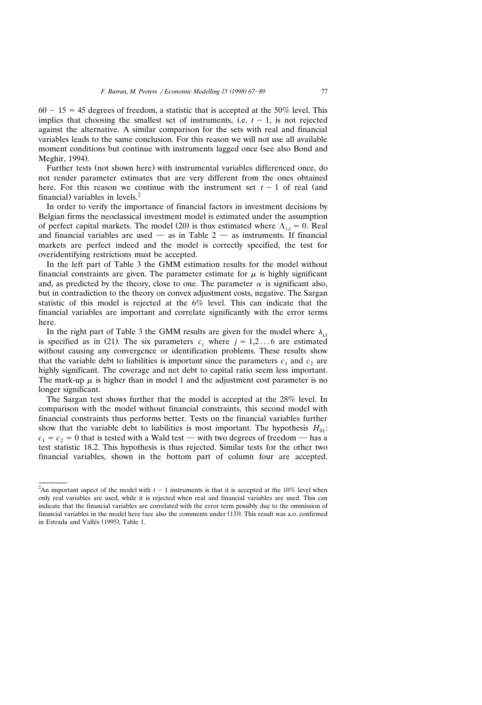$60 - 15 = 45$  degrees of freedom, a statistic that is accepted at the 50% level. This implies that choosing the smallest set of instruments, i.e.  $t - 1$ , is not rejected against the alternative. A similar comparison for the sets with real and financial variables leads to the same conclusion. For this reason we will not use all available moment conditions but continue with instruments lagged once (see also Bond and Meghir, 1994).

Further tests (not shown here) with instrumental variables differenced once, do not render parameter estimates that are very different from the ones obtained here. For this reason we continue with the instrument set  $t - 1$  of real (and financial) variables in levels.<sup>2</sup>

In order to verify the importance of financial factors in investment decisions by Belgian firms the neoclassical investment model is estimated under the assumption of perfect capital markets. The model (20) is thus estimated where  $\Lambda_{i,t} = 0$ . Real and financial variables are used  $-$  as in Table 2  $-$  as instruments. If financial markets are perfect indeed and the model is correctly specified, the test for overidentifying restrictions must be accepted.

In the left part of Table 3 the GMM estimation results for the model without financial constraints are given. The parameter estimate for  $\mu$  is highly significant and, as predicted by the theory, close to one. The parameter  $\alpha$  is significant also, but in contradiction to the theory on convex adjustment costs, negative. The Sargan statistic of this model is rejected at the 6% level. This can indicate that the financial variables are important and correlate significantly with the error terms here.

In the right part of Table 3 the GMM results are given for the model where  $\lambda_{i,t}$ is specified as in (21). The six parameters  $c_j$  where  $j = 1,2...$  6 are estimated without causing any convergence or identification problems. These results show that the variable debt to liabilities is important since the parameters  $c_1$  and  $c_2$  are highly significant. The coverage and net debt to capital ratio seem less important. The mark-up  $\mu$  is higher than in model 1 and the adjustment cost parameter is no longer significant.

The Sargan test shows further that the model is accepted at the 28% level. In comparison with the model without financial constraints, this second model with financial constraints thus performs better. Tests on the financial variables further show that the variable debt to liabilities is most important. The hypothesis  $H_{01}$ :  $c_1 = c_2 = 0$  that is tested with a Wald test — with two degrees of freedom — has a test statistic 18.2. This hypothesis is thus rejected. Similar tests for the other two financial variables, shown in the bottom part of column four are accepted.

<sup>&</sup>lt;sup>2</sup>An important aspect of the model with  $t - 1$  instruments is that it is accepted at the 10% level when only real variables are used, while it is rejected when real and financial variables are used. This can indicate that the financial variables are correlated with the error term possibly due to the ommission of financial variables in the model here (see also the comments under  $(13)$ ). This result was a.o. confirmed in Estrada and Vallés (1995), Table 1.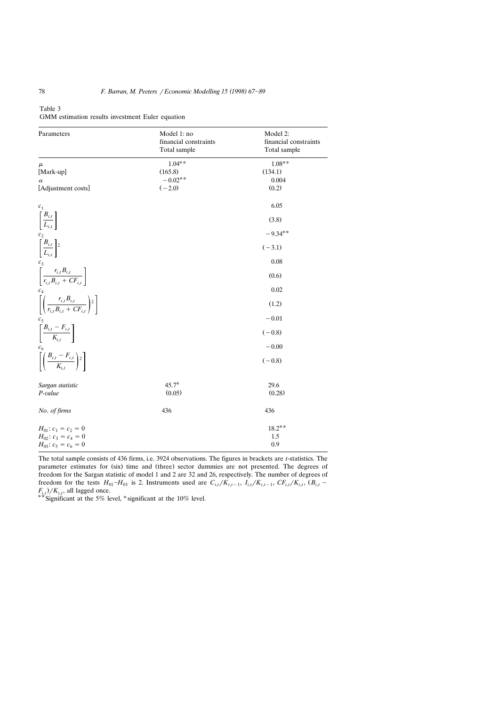| Parameters                                          | Model 1: no           | Model 2:              |
|-----------------------------------------------------|-----------------------|-----------------------|
|                                                     | financial constraints | financial constraints |
|                                                     | Total sample          | Total sample          |
| $\mu$                                               | $1.04**$              | $1.08**$              |
| [Mark-up]                                           | (165.8)               | (134.1)               |
| $\alpha$                                            | $-0.02**$             | 0.004                 |
| [Adjustment costs]                                  | $(-2.0)$              | (0.2)                 |
| c <sub>1</sub>                                      |                       | 6.05                  |
| $\left[ \frac{B_{i,t}}{L_{i,t}} \right]$            |                       | (3.8)                 |
| c <sub>2</sub>                                      |                       | $-9.34**$             |
| $\left[\frac{B_{i,t}}{L_{i,t}}\right]$ <sup>2</sup> |                       | $(-3.1)$              |
| $c_3$                                               |                       | 0.08                  |
| $r R$ .                                             |                       |                       |

Table 3

|  | GMM estimation results investment Euler equation |  |
|--|--------------------------------------------------|--|
|  |                                                  |  |

| c <sub>2</sub>                                                                        |         | $-9.34**$ |
|---------------------------------------------------------------------------------------|---------|-----------|
| $\left[\frac{B_{i,t}}{L_{i,t}}\right]$ <sup>2</sup>                                   |         | $(-3.1)$  |
| $c_3$                                                                                 |         | 0.08      |
| $\left[\frac{r_{i,t}B_{i,t}}{r_{i,t}B_{i,t} + CF_{i,t}}\right]$                       |         | (0.6)     |
| $c_4$                                                                                 |         | 0.02      |
| $\left[ \left( \frac{r_{i,t} B_{i,t}}{r_{i,t} B_{i,t} + C F_{i,t}} \right)^2 \right]$ |         | (1.2)     |
| c <sub>5</sub>                                                                        |         | $-0.01$   |
| $\left[\frac{B_{i,t}-F_{i,t}}{K_{i,t}}\right]$                                        |         | $(-0.8)$  |
| $c_{\scriptscriptstyle 6}$                                                            |         | $-0.00$   |
| $\left[ \left( \frac{B_{i,t}-F_{i,t}}{K_{i,t}} \right)^2 \right]$                     |         | $(-0.8)$  |
| Sargan statistic                                                                      | $45.7*$ | 29.6      |
| P-value                                                                               | (0.05)  | (0.28)    |
| No. of firms                                                                          | 436     | 436       |
| $H_{01}: c_1 = c_2 = 0$                                                               |         | $18.2**$  |
| $H_{02}$ : $c_3 = c_4 = 0$                                                            |         | 1.5       |
| $H_{03}: c_5 = c_6 = 0$                                                               |         | 0.9       |

The total sample consists of 436 firms, i.e. 3924 observations. The figures in brackets are *t*-statistics. The parameter estimates for (six) time and (three) sector dummies are not presented. The degrees of freedom for the Sargan statistic of model 1 and 2 are 32 and 26, respectively. The number of degrees of freedom for the tests  $H_{01}-H_{03}$  is 2. Instruments used are  $C_{i,t}/K_{i,t-1}$ ,  $I_{i,t}/K_{i,t-1}$ ,  $CF_{i,t}/K_{i,t}$ ,  $(B_{i,t} F_{i,t}$  / $K_{i,t}$ , all lagged once.<br><sup>\*</sup><sup>\*</sup>Significant at the 5% level, <sup>\*</sup>significant at the 10% level.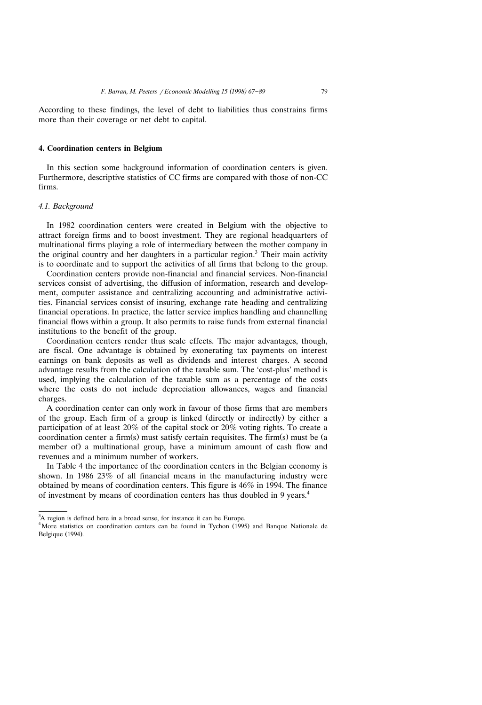According to these findings, the level of debt to liabilities thus constrains firms more than their coverage or net debt to capital.

#### **4. Coordination centers in Belgium**

In this section some background information of coordination centers is given. Furthermore, descriptive statistics of CC firms are compared with those of non-CC firms.

#### *4.1. Background*

In 1982 coordination centers were created in Belgium with the objective to attract foreign firms and to boost investment. They are regional headquarters of multinational firms playing a role of intermediary between the mother company in the original country and her daughters in a particular region.<sup>3</sup> Their main activity is to coordinate and to support the activities of all firms that belong to the group.

Coordination centers provide non-financial and financial services. Non-financial services consist of advertising, the diffusion of information, research and development, computer assistance and centralizing accounting and administrative activities. Financial services consist of insuring, exchange rate heading and centralizing financial operations. In practice, the latter service implies handling and channelling financial flows within a group. It also permits to raise funds from external financial institutions to the benefit of the group.

Coordination centers render thus scale effects. The major advantages, though, are fiscal. One advantage is obtained by exonerating tax payments on interest earnings on bank deposits as well as dividends and interest charges. A second advantage results from the calculation of the taxable sum. The 'cost-plus' method is used, implying the calculation of the taxable sum as a percentage of the costs where the costs do not include depreciation allowances, wages and financial charges.

A coordination center can only work in favour of those firms that are members of the group. Each firm of a group is linked (directly or indirectly) by either a participation of at least 20% of the capital stock or 20% voting rights. To create a coordination center a firm(s) must satisfy certain requisites. The firm(s) must be (a member of a multinational group, have a minimum amount of cash flow and revenues and a minimum number of workers.

In Table 4 the importance of the coordination centers in the Belgian economy is shown. In 1986 23% of all financial means in the manufacturing industry were obtained by means of coordination centers. This figure is 46% in 1994. The finance of investment by means of coordination centers has thus doubled in 9 years.<sup>4</sup>

 $3A$  region is defined here in a broad sense, for instance it can be Europe.

 $4$ More statistics on coordination centers can be found in Tychon (1995) and Banque Nationale de Belgique (1994).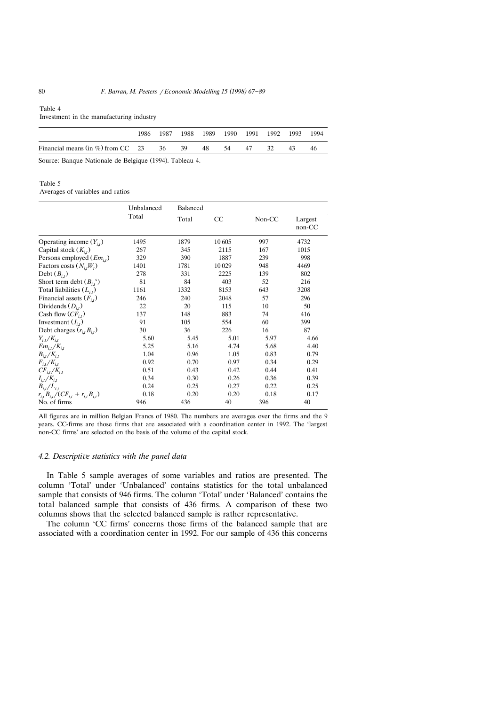#### Table 4

Investment in the manufacturing industry

|                                                     |  |  | 1986 1987 1988 1989 1990 1991 1992 1993 1994 |  |    |     |
|-----------------------------------------------------|--|--|----------------------------------------------|--|----|-----|
| Financial means (in %) from CC 23 36 39 48 54 47 32 |  |  |                                              |  | 43 | -46 |

Source: Banque Nationale de Belgique (1994). Tableau 4.

#### Table 5

Averages of variables and ratios

|                                                   | Unbalanced<br>Total | Balanced |       |        |                   |
|---------------------------------------------------|---------------------|----------|-------|--------|-------------------|
|                                                   |                     | Total    | CC    | Non-CC | Largest<br>non-CC |
| Operating income $(Y_{i,t})$                      | 1495                | 1879     | 10605 | 997    | 4732              |
| Capital stock $(K_{i,t})$                         | 267                 | 345      | 2115  | 167    | 1015              |
| Persons employed $(Em_{i,t})$                     | 329                 | 390      | 1887  | 239    | 998               |
| Factors costs $(N_{i,t}W_t)$                      | 1401                | 1781     | 10029 | 948    | 4469              |
| Debt $(B_{i,t})$                                  | 278                 | 331      | 2225  | 139    | 802               |
| Short term debt $(B_{i,t}^{\ s})$                 | 81                  | 84       | 403   | 52     | 216               |
| Total liabilities $(L_{i,t})$                     | 1161                | 1332     | 8153  | 643    | 3208              |
| Financial assets $(F_{i,t})$                      | 246                 | 240      | 2048  | 57     | 296               |
| Dividends $(D_{i,t})$                             | 22                  | 20       | 115   | 10     | 50                |
| Cash flow $CF_{i,t}$ )                            | 137                 | 148      | 883   | 74     | 416               |
| Investment $(I_{i,t})$                            | 91                  | 105      | 554   | 60     | 399               |
| Debt charges $(r_{i,t}B_{i,t})$                   | 30                  | 36       | 226   | 16     | 87                |
| $Y_{i,t}/K_{i,t}$                                 | 5.60                | 5.45     | 5.01  | 5.97   | 4.66              |
| $Em_{i,t}/K_{i,t}$                                | 5.25                | 5.16     | 4.74  | 5.68   | 4.40              |
| $B_{i,t}/K_{i,t}$                                 | 1.04                | 0.96     | 1.05  | 0.83   | 0.79              |
| $F_{i,t}/K_{i,t}$                                 | 0.92                | 0.70     | 0.97  | 0.34   | 0.29              |
| $CF_{i,t}/K_{i,t}$                                | 0.51                | 0.43     | 0.42  | 0.44   | 0.41              |
| $I_{i,t}/K_{i,t}$                                 | 0.34                | 0.30     | 0.26  | 0.36   | 0.39              |
| $B_{i,t}/L_{i,t}$                                 | 0.24                | 0.25     | 0.27  | 0.22   | 0.25              |
| $r_{i,t} B_{i,t} / (C F_{i,t} + r_{i,t} B_{i,t})$ | 0.18                | 0.20     | 0.20  | 0.18   | 0.17              |
| No. of firms                                      | 946                 | 436      | 40    | 396    | 40                |

All figures are in million Belgian Francs of 1980. The numbers are averages over the firms and the 9 years. CC-firms are those firms that are associated with a coordination center in 1992. The 'largest non-CC firms' are selected on the basis of the volume of the capital stock.

# *4.2. Descripti*¨*e statistics with the panel data*

In Table 5 sample averages of some variables and ratios are presented. The column 'Total' under 'Unbalanced' contains statistics for the total unbalanced sample that consists of 946 firms. The column 'Total' under 'Balanced' contains the total balanced sample that consists of 436 firms. A comparison of these two columns shows that the selected balanced sample is rather representative.

The column 'CC firms' concerns those firms of the balanced sample that are associated with a coordination center in 1992. For our sample of 436 this concerns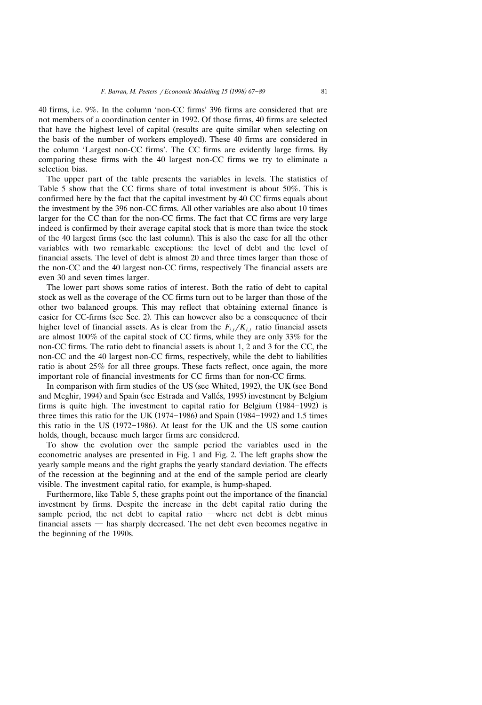40 firms, i.e. 9%. In the column 'non-CC firms' 396 firms are considered that are not members of a coordination center in 1992. Of those firms, 40 firms are selected that have the highest level of capital (results are quite similar when selecting on the basis of the number of workers employed). These 40 firms are considered in the column 'Largest non-CC firms'. The CC firms are evidently large firms. By comparing these firms with the 40 largest non-CC firms we try to eliminate a selection bias.

The upper part of the table presents the variables in levels. The statistics of Table 5 show that the CC firms share of total investment is about 50%. This is confirmed here by the fact that the capital investment by 40 CC firms equals about the investment by the 396 non-CC firms. All other variables are also about 10 times larger for the CC than for the non-CC firms. The fact that CC firms are very large indeed is confirmed by their average capital stock that is more than twice the stock of the 40 largest firms (see the last column). This is also the case for all the other variables with two remarkable exceptions: the level of debt and the level of financial assets. The level of debt is almost 20 and three times larger than those of the non-CC and the 40 largest non-CC firms, respectively The financial assets are even 30 and seven times larger.

The lower part shows some ratios of interest. Both the ratio of debt to capital stock as well as the coverage of the CC firms turn out to be larger than those of the other two balanced groups. This may reflect that obtaining external finance is easier for CC-firms (see Sec. 2). This can however also be a consequence of their higher level of financial assets. As is clear from the  $F_{i,t}/K_{i,t}$  ratio financial assets are almost 100% of the capital stock of CC firms, while they are only 33% for the non-CC firms. The ratio debt to financial assets is about 1, 2 and 3 for the CC, the non-CC and the 40 largest non-CC firms, respectively, while the debt to liabilities ratio is about 25% for all three groups. These facts reflect, once again, the more important role of financial investments for CC firms than for non-CC firms.

In comparison with firm studies of the US (see Whited, 1992), the UK (see Bond and Meghir, 1994) and Spain (see Estrada and Vallés, 1995) investment by Belgium firms is quite high. The investment to capital ratio for Belgium  $(1984 - 1992)$  is three times this ratio for the UK  $(1974-1986)$  and Spain  $(1984-1992)$  and 1.5 times this ratio in the US  $(1972 - 1986)$ . At least for the UK and the US some caution holds, though, because much larger firms are considered.

To show the evolution over the sample period the variables used in the econometric analyses are presented in Fig. 1 and Fig. 2. The left graphs show the yearly sample means and the right graphs the yearly standard deviation. The effects of the recession at the beginning and at the end of the sample period are clearly visible. The investment capital ratio, for example, is hump-shaped.

Furthermore, like Table 5, these graphs point out the importance of the financial investment by firms. Despite the increase in the debt capital ratio during the sample period, the net debt to capital ratio —where net debt is debt minus financial assets  $-$  has sharply decreased. The net debt even becomes negative in the beginning of the 1990s.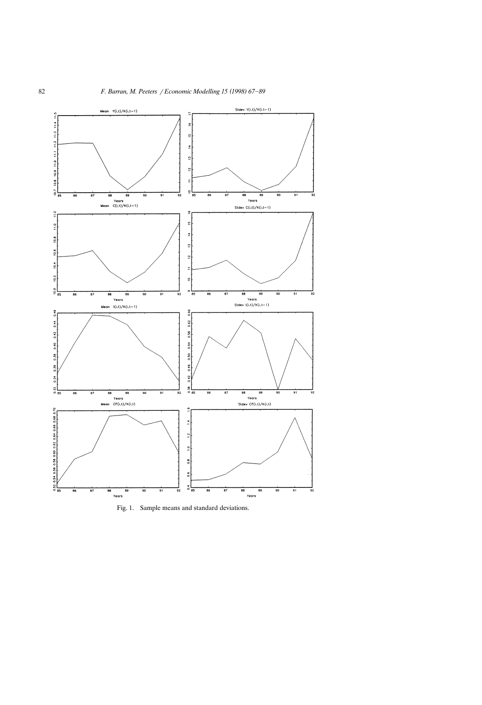

Fig. 1. Sample means and standard deviations.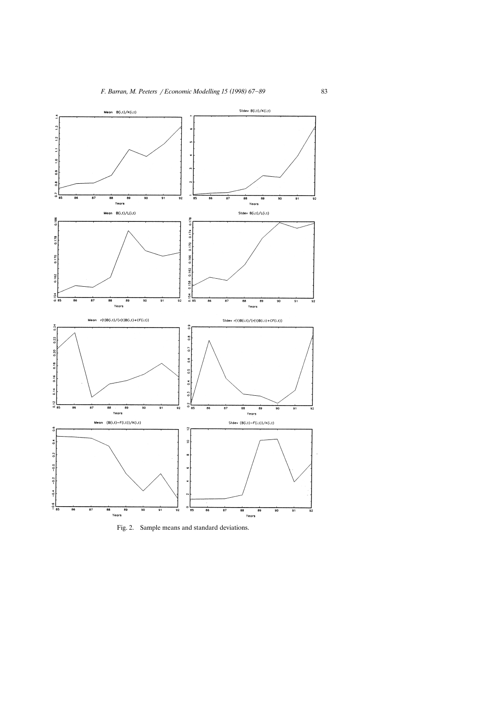

Fig. 2. Sample means and standard deviations.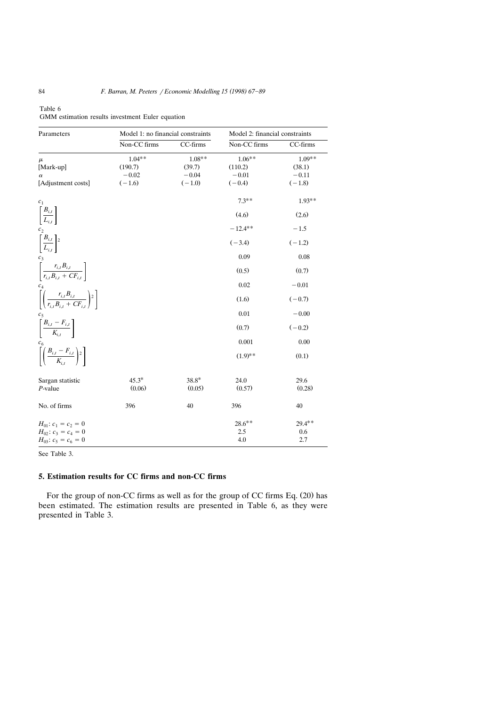| Parameters                                                                            | Model 1: no financial constraints          |                                           | Model 2: financial constraints              |                                           |  |
|---------------------------------------------------------------------------------------|--------------------------------------------|-------------------------------------------|---------------------------------------------|-------------------------------------------|--|
|                                                                                       | Non-CC firms                               | CC-firms                                  | Non-CC firms                                | CC-firms                                  |  |
| $\mu$<br>[Mark-up]<br>$\alpha$<br>[Adjustment costs]                                  | $1.04**$<br>(190.7)<br>$-0.02$<br>$(-1.6)$ | $1.08**$<br>(39.7)<br>$-0.04$<br>$(-1.0)$ | $1.06***$<br>(110.2)<br>$-0.01$<br>$(-0.4)$ | $1.09**$<br>(38.1)<br>$-0.11$<br>$(-1.8)$ |  |
| $c_1$                                                                                 |                                            |                                           | $7.3**$                                     | $1.93**$                                  |  |
| $\left[\frac{B_{i,t}}{L_{i,t}}\right]$                                                |                                            |                                           | (4.6)                                       | (2.6)                                     |  |
| c <sub>2</sub>                                                                        |                                            |                                           | $-12.4**$                                   | $-1.5$                                    |  |
| $\left[\frac{B_{i,t}}{L_{i,t}}\right]$ <sup>2</sup>                                   |                                            |                                           | $(-3.4)$                                    | $(-1.2)$                                  |  |
|                                                                                       |                                            |                                           | 0.09                                        | 0.08                                      |  |
| $\begin{bmatrix} c_3 \\ \hline r_{i,t}B_{i,t} + CF_{i,t} \end{bmatrix}$               |                                            |                                           | (0.5)                                       | (0.7)                                     |  |
|                                                                                       |                                            |                                           | 0.02                                        | $-0.01$                                   |  |
| $\left[ \left( \frac{r_{i,t} B_{i,t}}{r_{i,t} B_{i,t} + C F_{i,t}} \right)^2 \right]$ |                                            |                                           | (1.6)                                       | $(-0.7)$                                  |  |
|                                                                                       |                                            |                                           | 0.01                                        | $-0.00$                                   |  |
| $\left[\frac{B_{i,t}-F_{i,t}}{K_{i,t}}\right]$                                        |                                            |                                           | (0.7)                                       | $(-0.2)$                                  |  |
|                                                                                       |                                            |                                           | 0.001                                       | 0.00                                      |  |
| $\left[ \left( \frac{B_{i,t} - F_{i,t}}{K_{i,t}} \right)^2 \right]$                   |                                            |                                           | $(1.9)$ **                                  | (0.1)                                     |  |
| Sargan statistic<br>$P$ -value                                                        | $45.3*$<br>(0.06)                          | $38.8*$<br>(0.05)                         | 24.0<br>(0.57)                              | 29.6<br>(0.28)                            |  |
| No. of firms                                                                          | 396                                        | 40                                        | 396                                         | 40                                        |  |
| $H_{01}: c_1 = c_2 = 0$<br>$H_{02}$ : $c_3 = c_4 = 0$<br>$H_{03}: c_5 = c_6 = 0$      |                                            |                                           | $28.6**$<br>2.5<br>4.0                      | $29.4**$<br>0.6<br>2.7                    |  |

| Table 6                                          |  |  |
|--------------------------------------------------|--|--|
| GMM estimation results investment Euler equation |  |  |

See Table 3.

# **5. Estimation results for CC firms and non-CC firms**

For the group of non-CC firms as well as for the group of CC firms Eq. (20) has been estimated. The estimation results are presented in Table 6, as they were presented in Table 3.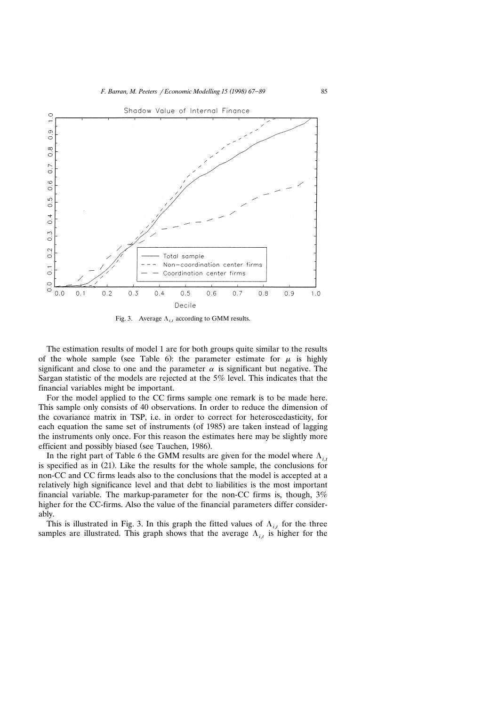

Fig. 3. Average  $\Lambda_{i,t}$  according to GMM results.

The estimation results of model 1 are for both groups quite similar to the results of the whole sample (see Table 6): the parameter estimate for  $\mu$  is highly significant and close to one and the parameter  $\alpha$  is significant but negative. The Sargan statistic of the models are rejected at the 5% level. This indicates that the financial variables might be important.

For the model applied to the CC firms sample one remark is to be made here. This sample only consists of 40 observations. In order to reduce the dimension of the covariance matrix in TSP, i.e. in order to correct for heteroscedasticity, for each equation the same set of instruments (of 1985) are taken instead of lagging the instruments only once. For this reason the estimates here may be slightly more efficient and possibly biased (see Tauchen, 1986).

In the right part of Table 6 the GMM results are given for the model where  $\Lambda_{i,t}$ is specified as in  $(21)$ . Like the results for the whole sample, the conclusions for non-CC and CC firms leads also to the conclusions that the model is accepted at a relatively high significance level and that debt to liabilities is the most important financial variable. The markup-parameter for the non-CC firms is, though, 3% higher for the CC-firms. Also the value of the financial parameters differ considerably.

This is illustrated in Fig. 3. In this graph the fitted values of  $\Lambda_{i,t}$  for the three samples are illustrated. This graph shows that the average  $\Lambda_{i,t}$  is higher for the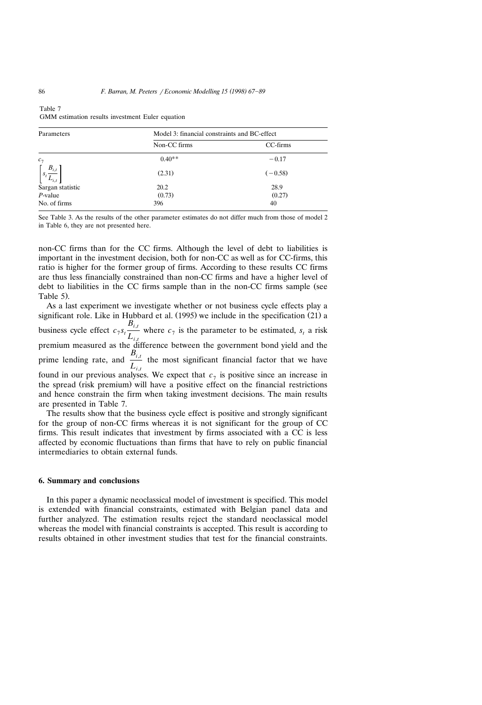| Parameters                              | Model 3: financial constraints and BC-effect |           |  |  |  |
|-----------------------------------------|----------------------------------------------|-----------|--|--|--|
|                                         | Non-CC firms                                 | CC-firms  |  |  |  |
| $c_7$                                   | $0.40**$                                     | $-0.17$   |  |  |  |
| $\lceil \frac{B_{i,t}}{L_{i,t}} \rceil$ | (2.31)                                       | $(-0.58)$ |  |  |  |
| Sargan statistic                        | 20.2                                         | 28.9      |  |  |  |
| $P$ -value                              | (0.73)                                       | (0.27)    |  |  |  |
| No. of firms                            | 396                                          | 40        |  |  |  |

| rapie / |  |                                                  |  |
|---------|--|--------------------------------------------------|--|
|         |  | GMM estimation results investment Euler equation |  |

See Table 3. As the results of the other parameter estimates do not differ much from those of model 2 in Table 6, they are not presented here.

non-CC firms than for the CC firms. Although the level of debt to liabilities is important in the investment decision, both for non-CC as well as for CC-firms, this ratio is higher for the former group of firms. According to these results CC firms are thus less financially constrained than non-CC firms and have a higher level of debt to liabilities in the CC firms sample than in the non-CC firms sample (see Table 5).

As a last experiment we investigate whether or not business cycle effects play a significant role. Like in Hubbard et al. (1995) we include in the specification (21) a  $B_{i,t}$ business cycle effect  $c_7 s_t \frac{d_i}{L_{i,t}}$  where  $c_7$  is the parameter to be estimated,  $s_t$  a risk premium measured as the difference between the government bond yield and the prime lending rate, and  $\frac{B_{i,t}}{L_{i,t}}$  the most significant financial factor that we have found in our previous analyses. We expect that  $c_7$  is positive since an increase in the spread (risk premium) will have a positive effect on the financial restrictions and hence constrain the firm when taking investment decisions. The main results are presented in Table 7.

The results show that the business cycle effect is positive and strongly significant for the group of non-CC firms whereas it is not significant for the group of CC firms. This result indicates that investment by firms associated with a CC is less affected by economic fluctuations than firms that have to rely on public financial intermediaries to obtain external funds.

# **6. Summary and conclusions**

In this paper a dynamic neoclassical model of investment is specified. This model is extended with financial constraints, estimated with Belgian panel data and further analyzed. The estimation results reject the standard neoclassical model whereas the model with financial constraints is accepted. This result is according to results obtained in other investment studies that test for the financial constraints.

 $\overline{m}$   $\overline{m}$   $\overline{m}$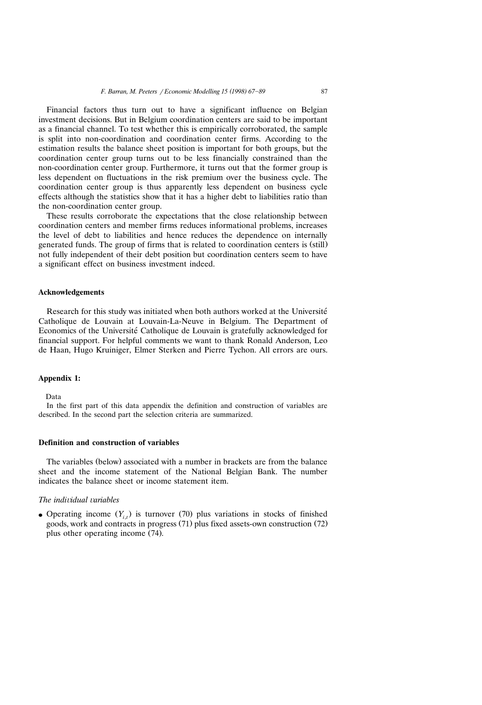Financial factors thus turn out to have a significant influence on Belgian investment decisions. But in Belgium coordination centers are said to be important as a financial channel. To test whether this is empirically corroborated, the sample is split into non-coordination and coordination center firms. According to the estimation results the balance sheet position is important for both groups, but the coordination center group turns out to be less financially constrained than the non-coordination center group. Furthermore, it turns out that the former group is less dependent on fluctuations in the risk premium over the business cycle. The coordination center group is thus apparently less dependent on business cycle effects although the statistics show that it has a higher debt to liabilities ratio than the non-coordination center group.

These results corroborate the expectations that the close relationship between coordination centers and member firms reduces informational problems, increases the level of debt to liabilities and hence reduces the dependence on internally generated funds. The group of firms that is related to coordination centers is (still) not fully independent of their debt position but coordination centers seem to have a significant effect on business investment indeed.

#### **Acknowledgements**

Research for this study was initiated when both authors worked at the Université Catholique de Louvain at Louvain-La-Neuve in Belgium. The Department of Economics of the Université Catholique de Louvain is gratefully acknowledged for financial support. For helpful comments we want to thank Ronald Anderson, Leo de Haan, Hugo Kruiniger, Elmer Sterken and Pierre Tychon. All errors are ours.

#### **Appendix 1:**

Data

In the first part of this data appendix the definition and construction of variables are described. In the second part the selection criteria are summarized.

# **Definition and construction of variables**

The variables (below) associated with a number in brackets are from the balance sheet and the income statement of the National Belgian Bank. The number indicates the balance sheet or income statement item.

# *The individual variables*

• Operating income  $(Y_{i,t})$  is turnover (70) plus variations in stocks of finished goods, work and contracts in progress (71) plus fixed assets-own construction (72) plus other operating income (74).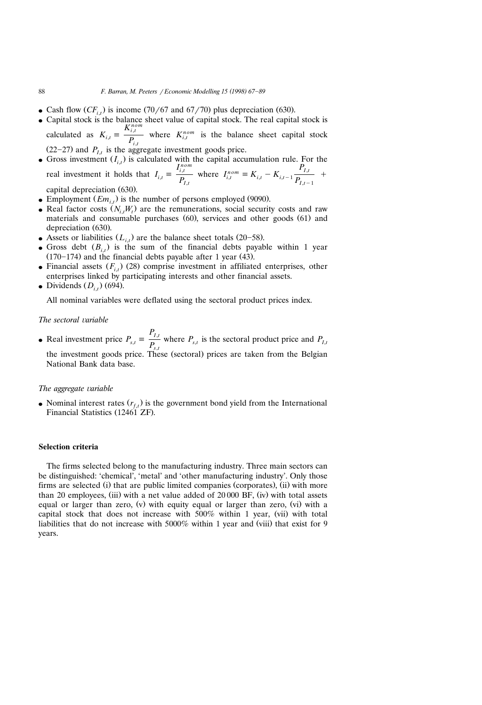- Cash flow  $(CF_{i,t})$  is income (70/67 and 67/70) plus depreciation (630).
- Capital stock is the balance sheet value of capital stock. The real capital stock is calculated as  $K_{i,t} \equiv \frac{K_{i,t}^{nom}}{P_{i,t}}$  where  $K_{i,t}^{nom}$  is the balance sheet capital stock  $(22-27)$  and  $P_{I,t}$  is the aggregate investment goods price.
- Gross investment  $(I_{i,t})$  is calculated with the capital accumulation rule. For the real investment it holds that  $I_{i,t} = \frac{I_{i,t}^{nom}}{P_{I,t}}$  where  $I_{i,t}^{nom} = K_{i,t} - K_{i,t-1} \frac{P_{I,t}}{P_{I,t-1}}$  + capital depreciation (630).
- **•** Employment  $(Em_{i,t})$  is the number of persons employed (9090).
- Real factor costs  $(N_{i,t}W_t)$  are the remunerations, social security costs and raw materials and consumable purchases  $(60)$ , services and other goods  $(61)$  and depreciation (630).
- Assets or liabilities  $(L_{i,t})$  are the balance sheet totals (20–58).
- Gross debt  $(B_{i,t})$  is the sum of the financial debts payable within 1 year  $(170-174)$  and the financial debts payable after 1 year (43).
- Financial assets  $(F_{i,t})$  (28) comprise investment in affiliated enterprises, other enterprises linked by participating interests and other financial assets.
- $\bullet$  Dividends  $(D_{i,t})$  (694).

All nominal variables were deflated using the sectoral product prices index.

### *The sectoral variable*

*PI*,*<sup>t</sup>* • Real investment price  $P_{s,t} \equiv \frac{P_{s,t}}{P_{s,t}}$  where  $P_{s,t}$  is the sectoral product price and  $P_{I,t}$ the investment goods price. These (sectoral) prices are taken from the Belgian National Bank data base.

#### *The aggregate variable*

• Nominal interest rates  $(r_{f,t})$  is the government bond yield from the International Financial Statistics (12461 ZF).

### **Selection criteria**

The firms selected belong to the manufacturing industry. Three main sectors can be distinguished: 'chemical', 'metal' and 'other manufacturing industry'. Only those firms are selected (i) that are public limited companies (corporates), (ii) with more than 20 employees, (iii) with a net value added of  $20\,000$  BF, (iv) with total assets equal or larger than zero, (v) with equity equal or larger than zero, (vi) with a capital stock that does not increase with  $500\%$  within 1 year, (vii) with total liabilities that do not increase with  $5000\%$  within 1 year and (viii) that exist for 9 years.